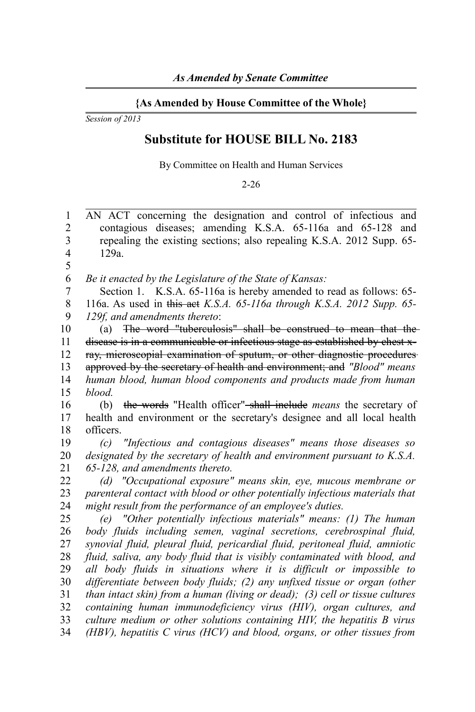## **{As Amended by House Committee of the Whole}**

*Session of 2013*

## **Substitute for HOUSE BILL No. 2183**

By Committee on Health and Human Services

2-26

AN ACT concerning the designation and control of infectious and contagious diseases; amending K.S.A. 65-116a and 65-128 and repealing the existing sections; also repealing K.S.A. 2012 Supp. 65- 129a. *Be it enacted by the Legislature of the State of Kansas:* Section 1. K.S.A. 65-116a is hereby amended to read as follows: 65-116a. As used in this act *K.S.A. 65-116a through K.S.A. 2012 Supp. 65- 129f, and amendments thereto*: (a) The word "tuberculosis" shall be construed to mean that the disease is in a communicable or infectious stage as established by chest xray, microscopial examination of sputum, or other diagnostic procedures approved by the secretary of health and environment; and *"Blood" means human blood, human blood components and products made from human blood.* (b) the words "Health officer" shall include *means* the secretary of health and environment or the secretary's designee and all local health officers. *(c) "Infectious and contagious diseases" means those diseases so designated by the secretary of health and environment pursuant to K.S.A. 65-128, and amendments thereto. (d) "Occupational exposure" means skin, eye, mucous membrane or parenteral contact with blood or other potentially infectious materials that might result from the performance of an employee's duties. (e) "Other potentially infectious materials" means: (1) The human body fluids including semen, vaginal secretions, cerebrospinal fluid, synovial fluid, pleural fluid, pericardial fluid, peritoneal fluid, amniotic fluid, saliva, any body fluid that is visibly contaminated with blood, and all body fluids in situations where it is difficult or impossible to differentiate between body fluids; (2) any unfixed tissue or organ (other than intact skin) from a human (living or dead); (3) cell or tissue cultures containing human immunodeficiency virus (HIV), organ cultures, and culture medium or other solutions containing HIV, the hepatitis B virus (HBV), hepatitis C virus (HCV) and blood, organs, or other tissues from* 1 2 3 4 5 6 7 8 9 10 11 12 13 14 15 16 17 18 19 20 21 22 23 24 25 26 27 28 29 30 31 32 33 34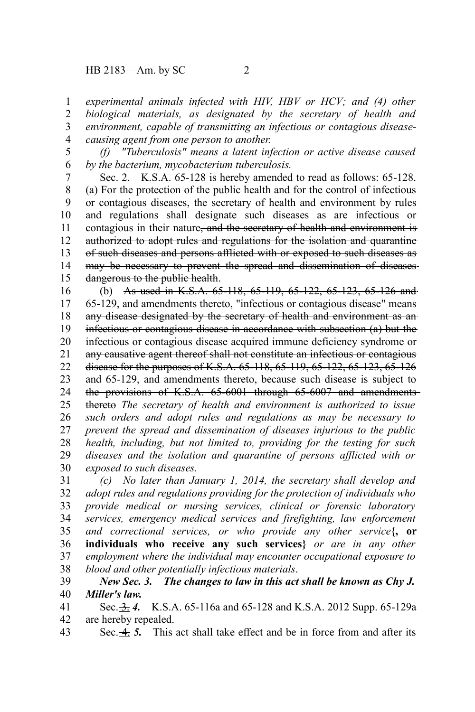## HB 2183—Am. by SC 2

*experimental animals infected with HIV, HBV or HCV; and (4) other biological materials, as designated by the secretary of health and environment, capable of transmitting an infectious or contagious diseasecausing agent from one person to another.* 1 2 3 4

*(f) "Tuberculosis" means a latent infection or active disease caused by the bacterium, mycobacterium tuberculosis.* 5 6

Sec. 2. K.S.A. 65-128 is hereby amended to read as follows: 65-128. (a) For the protection of the public health and for the control of infectious or contagious diseases, the secretary of health and environment by rules and regulations shall designate such diseases as are infectious or contagious in their nature<del>, and the secretary of health and environment is</del> authorized to adopt rules and regulations for the isolation and quarantine of such diseases and persons afflicted with or exposed to such diseases as may be necessary to prevent the spread and dissemination of diseases dangerous to the public health. 7 8 9 10 11 12 13 14 15

(b) As used in K.S.A. 65-118, 65-119, 65-122, 65-123, 65-126 and 65-129, and amendments thereto, "infectious or contagious disease" means any disease designated by the secretary of health and environment as aninfectious or contagious disease in accordance with subsection (a) but the infectious or contagious disease acquired immune deficiency syndrome or any causative agent thereof shall not constitute an infectious or contagious disease for the purposes of K.S.A. 65-118, 65-119, 65-122, 65-123, 65-126 and 65-129, and amendments thereto, because such disease is subject to the provisions of K.S.A. 65-6001 through 65-6007 and amendments thereto *The secretary of health and environment is authorized to issue such orders and adopt rules and regulations as may be necessary to prevent the spread and dissemination of diseases injurious to the public health, including, but not limited to, providing for the testing for such diseases and the isolation and quarantine of persons afflicted with or exposed to such diseases.* 16 17 18 19 20 21 22 23 24 25 26 27 28 29 30

*(c) No later than January 1, 2014, the secretary shall develop and adopt rules and regulations providing for the protection of individuals who provide medical or nursing services, clinical or forensic laboratory services, emergency medical services and firefighting, law enforcement and correctional services, or who provide any other service***{, or individuals who receive any such services}** *or are in any other employment where the individual may encounter occupational exposure to blood and other potentially infectious materials*. 31 32 33 34 35 36 37 38

*New Sec. 3. The changes to law in this act shall be known as Chy J. Miller's law.* 39 40

Sec.  $\frac{.3.1}{.4.4}$  K.S.A. 65-116a and 65-128 and K.S.A. 2012 Supp. 65-129a are hereby repealed. 41 42

Sec. 4. *5.* This act shall take effect and be in force from and after its 43